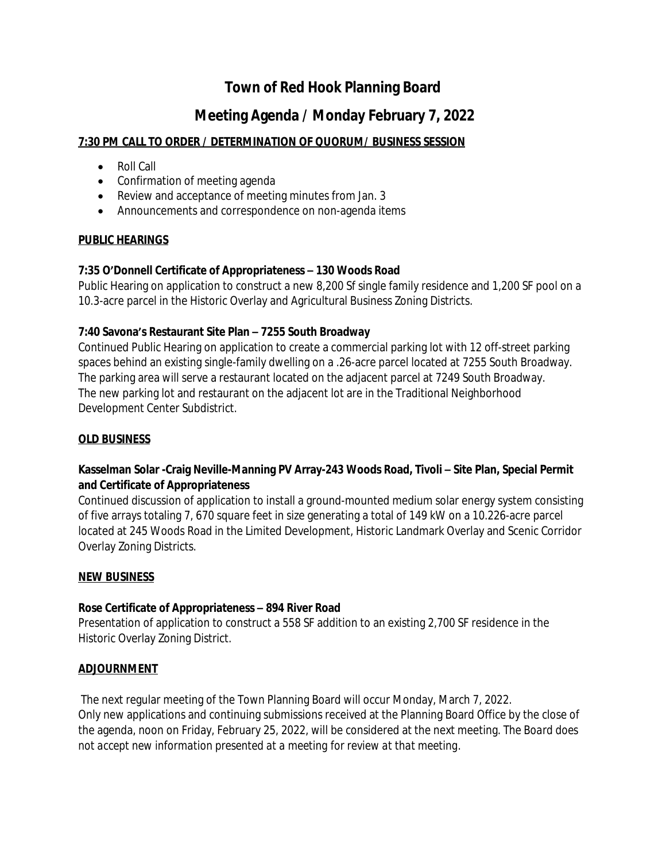# **Town of Red Hook Planning Board**

## **Meeting Agenda / Monday February 7, 2022**

## **7:30 PM CALL TO ORDER / DETERMINATION OF QUORUM/ BUSINESS SESSION**

- Roll Call
- Confirmation of meeting agenda
- Review and acceptance of meeting minutes from Jan. 3
- Announcements and correspondence on non-agenda items

## **PUBLIC HEARINGS**

#### **7:35 O'Donnell Certificate of Appropriateness – 130 Woods Road**

Public Hearing on application to construct a new 8,200 Sf single family residence and 1,200 SF pool on a 10.3-acre parcel in the Historic Overlay and Agricultural Business Zoning Districts.

## **7:40 Savona's Restaurant Site Plan – 7255 South Broadway**

Continued Public Hearing on application to create a commercial parking lot with 12 off-street parking spaces behind an existing single-family dwelling on a .26-acre parcel located at 7255 South Broadway. The parking area will serve a restaurant located on the adjacent parcel at 7249 South Broadway. The new parking lot and restaurant on the adjacent lot are in the Traditional Neighborhood Development Center Subdistrict.

#### **OLD BUSINESS**

## Kasselman Solar -Craig Neville-Manning PV Array-243 Woods Road, Tivoli - Site Plan, Special Permit **and Certificate of Appropriateness**

Continued discussion of application to install a ground-mounted medium solar energy system consisting of five arrays totaling 7, 670 square feet in size generating a total of 149 kW on a 10.226-acre parcel located at 245 Woods Road in the Limited Development, Historic Landmark Overlay and Scenic Corridor Overlay Zoning Districts.

#### **NEW BUSINESS**

#### **Rose Certificate of Appropriateness – 894 River Road**

Presentation of application to construct a 558 SF addition to an existing 2,700 SF residence in the Historic Overlay Zoning District.

#### **ADJOURNMENT**

The next regular meeting of the Town Planning Board will occur Monday, March 7, 2022. Only new applications and continuing submissions received at the Planning Board Office by the close of the agenda, noon on Friday, February 25, 2022, will be considered at the next meeting. *The Board does not accept new information presented at a meeting for review at that meeting.*